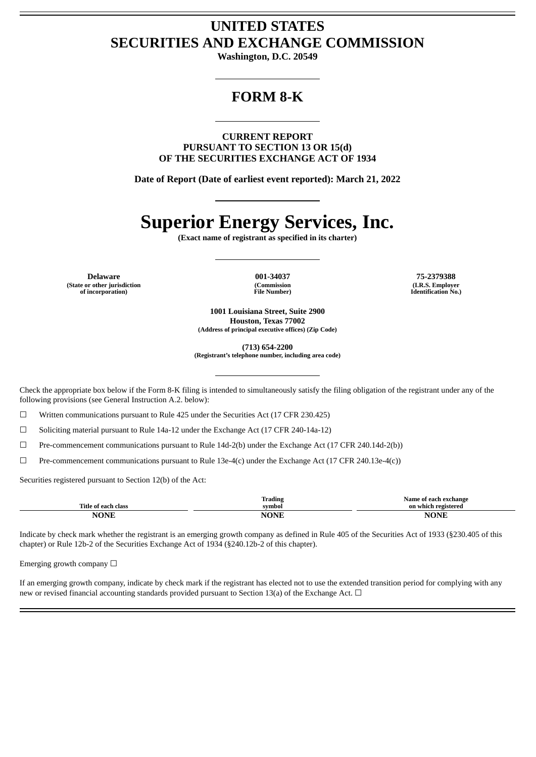# **UNITED STATES SECURITIES AND EXCHANGE COMMISSION**

**Washington, D.C. 20549**

# **FORM 8-K**

**CURRENT REPORT PURSUANT TO SECTION 13 OR 15(d) OF THE SECURITIES EXCHANGE ACT OF 1934**

**Date of Report (Date of earliest event reported): March 21, 2022**

# **Superior Energy Services, Inc.**

**(Exact name of registrant as specified in its charter)**

**Delaware 001-34037 75-2379388 (State or other jurisdiction of incorporation)**

**(Commission File Number)**

**(I.R.S. Employer Identification No.)**

**1001 Louisiana Street, Suite 2900 Houston, Texas 77002 (Address of principal executive offices) (Zip Code)**

**(713) 654-2200 (Registrant's telephone number, including area code)**

Check the appropriate box below if the Form 8-K filing is intended to simultaneously satisfy the filing obligation of the registrant under any of the following provisions (see General Instruction A.2. below):

☐ Written communications pursuant to Rule 425 under the Securities Act (17 CFR 230.425)

☐ Soliciting material pursuant to Rule 14a-12 under the Exchange Act (17 CFR 240-14a-12)

☐ Pre-commencement communications pursuant to Rule 14d-2(b) under the Exchange Act (17 CFR 240.14d-2(b))

 $\Box$  Pre-commencement communications pursuant to Rule 13e-4(c) under the Exchange Act (17 CFR 240.13e-4(c))

Securities registered pursuant to Section 12(b) of the Act:

|                                     | Trading     | Name of each exchange |
|-------------------------------------|-------------|-----------------------|
| Title.<br>' each-<br>. class<br>-nt | svmbol      | on which registered   |
| VONT                                | <b>NONE</b> | NAND                  |

Indicate by check mark whether the registrant is an emerging growth company as defined in Rule 405 of the Securities Act of 1933 (§230.405 of this chapter) or Rule 12b-2 of the Securities Exchange Act of 1934 (§240.12b-2 of this chapter).

Emerging growth company  $\Box$ 

If an emerging growth company, indicate by check mark if the registrant has elected not to use the extended transition period for complying with any new or revised financial accounting standards provided pursuant to Section 13(a) of the Exchange Act.  $\Box$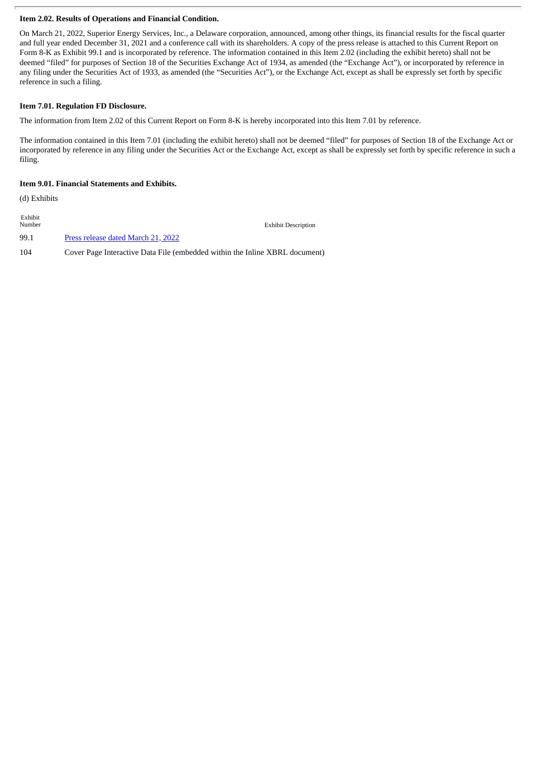## **Item 2.02. Results of Operations and Financial Condition.**

On March 21, 2022, Superior Energy Services, Inc., a Delaware corporation, announced, among other things, its financial results for the fiscal quarter and full year ended December 31, 2021 and a conference call with its shareholders. A copy of the press release is attached to this Current Report on Form 8-K as Exhibit 99.1 and is incorporated by reference. The information contained in this Item 2.02 (including the exhibit hereto) shall not be deemed "filed" for purposes of Section 18 of the Securities Exchange Act of 1934, as amended (the "Exchange Act"), or incorporated by reference in any filing under the Securities Act of 1933, as amended (the "Securities Act"), or the Exchange Act, except as shall be expressly set forth by specific reference in such a filing.

#### **Item 7.01. Regulation FD Disclosure.**

The information from Item 2.02 of this Current Report on Form 8-K is hereby incorporated into this Item 7.01 by reference.

The information contained in this Item 7.01 (including the exhibit hereto) shall not be deemed "filed" for purposes of Section 18 of the Exchange Act or incorporated by reference in any filing under the Securities Act or the Exchange Act, except as shall be expressly set forth by specific reference in such a filing.

#### **Item 9.01. Financial Statements and Exhibits.**

(d) Exhibits

Exhibit **Exhibit Description** 99.1 Press [release](#page-3-0) dated March 21, 2022 104 Cover Page Interactive Data File (embedded within the Inline XBRL document)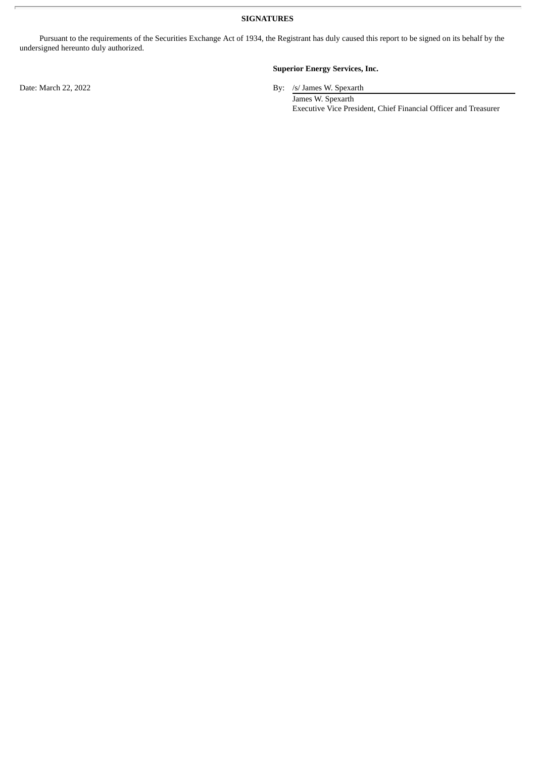**SIGNATURES**

Pursuant to the requirements of the Securities Exchange Act of 1934, the Registrant has duly caused this report to be signed on its behalf by the undersigned hereunto duly authorized.

# **Superior Energy Services, Inc.**

Date: March 22, 2022 By: /s/ James W. Spexarth

James W. Spexarth Executive Vice President, Chief Financial Officer and Treasurer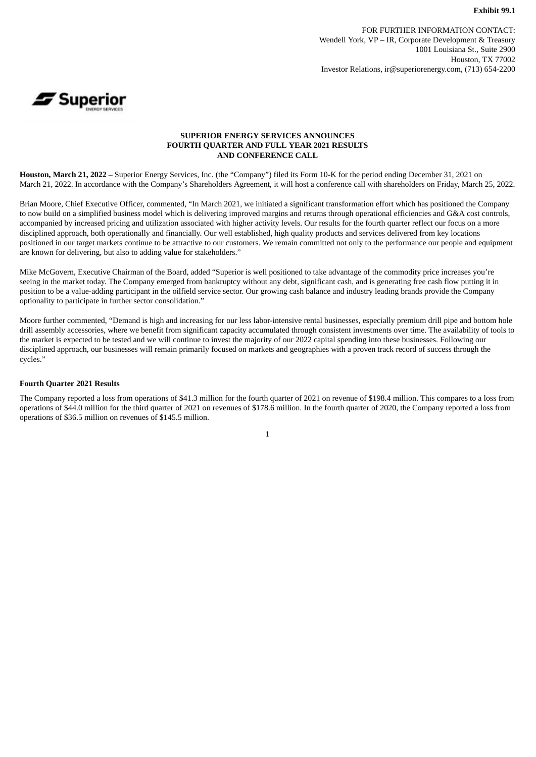FOR FURTHER INFORMATION CONTACT: Wendell York, VP – IR, Corporate Development & Treasury 1001 Louisiana St., Suite 2900 Houston, TX 77002 Investor Relations, ir@superiorenergy.com, (713) 654-2200

<span id="page-3-0"></span>

#### **SUPERIOR ENERGY SERVICES ANNOUNCES FOURTH QUARTER AND FULL YEAR 2021 RESULTS AND CONFERENCE CALL**

**Houston, March 21, 2022** – Superior Energy Services, Inc. (the "Company") filed its Form 10-K for the period ending December 31, 2021 on March 21, 2022. In accordance with the Company's Shareholders Agreement, it will host a conference call with shareholders on Friday, March 25, 2022.

Brian Moore, Chief Executive Officer, commented, "In March 2021, we initiated a significant transformation effort which has positioned the Company to now build on a simplified business model which is delivering improved margins and returns through operational efficiencies and G&A cost controls, accompanied by increased pricing and utilization associated with higher activity levels. Our results for the fourth quarter reflect our focus on a more disciplined approach, both operationally and financially. Our well established, high quality products and services delivered from key locations positioned in our target markets continue to be attractive to our customers. We remain committed not only to the performance our people and equipment are known for delivering, but also to adding value for stakeholders."

Mike McGovern, Executive Chairman of the Board, added "Superior is well positioned to take advantage of the commodity price increases you're seeing in the market today. The Company emerged from bankruptcy without any debt, significant cash, and is generating free cash flow putting it in position to be a value-adding participant in the oilfield service sector. Our growing cash balance and industry leading brands provide the Company optionality to participate in further sector consolidation."

Moore further commented, "Demand is high and increasing for our less labor-intensive rental businesses, especially premium drill pipe and bottom hole drill assembly accessories, where we benefit from significant capacity accumulated through consistent investments over time. The availability of tools to the market is expected to be tested and we will continue to invest the majority of our 2022 capital spending into these businesses. Following our disciplined approach, our businesses will remain primarily focused on markets and geographies with a proven track record of success through the cycles."

#### **Fourth Quarter 2021 Results**

The Company reported a loss from operations of \$41.3 million for the fourth quarter of 2021 on revenue of \$198.4 million. This compares to a loss from operations of \$44.0 million for the third quarter of 2021 on revenues of \$178.6 million. In the fourth quarter of 2020, the Company reported a loss from operations of \$36.5 million on revenues of \$145.5 million.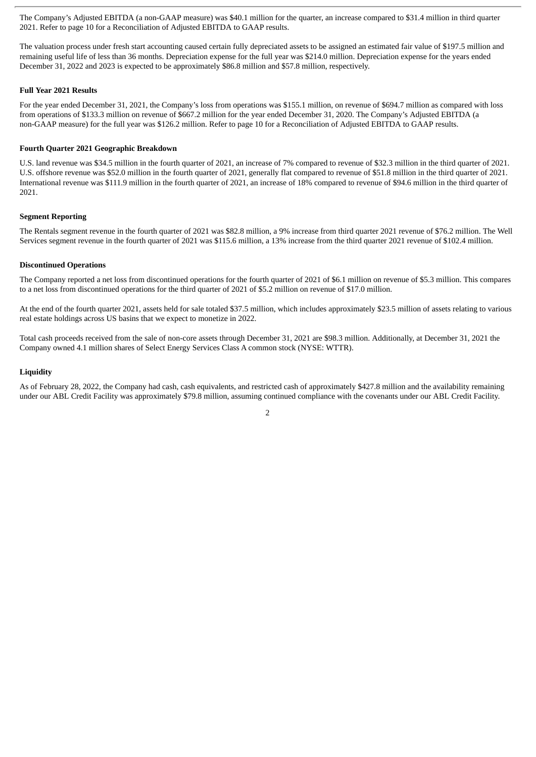The Company's Adjusted EBITDA (a non-GAAP measure) was \$40.1 million for the quarter, an increase compared to \$31.4 million in third quarter 2021. Refer to page 10 for a Reconciliation of Adjusted EBITDA to GAAP results.

The valuation process under fresh start accounting caused certain fully depreciated assets to be assigned an estimated fair value of \$197.5 million and remaining useful life of less than 36 months. Depreciation expense for the full year was \$214.0 million. Depreciation expense for the years ended December 31, 2022 and 2023 is expected to be approximately \$86.8 million and \$57.8 million, respectively.

#### **Full Year 2021 Results**

For the year ended December 31, 2021, the Company's loss from operations was \$155.1 million, on revenue of \$694.7 million as compared with loss from operations of \$133.3 million on revenue of \$667.2 million for the year ended December 31, 2020. The Company's Adjusted EBITDA (a non-GAAP measure) for the full year was \$126.2 million. Refer to page 10 for a Reconciliation of Adjusted EBITDA to GAAP results.

#### **Fourth Quarter 2021 Geographic Breakdown**

U.S. land revenue was \$34.5 million in the fourth quarter of 2021, an increase of 7% compared to revenue of \$32.3 million in the third quarter of 2021. U.S. offshore revenue was \$52.0 million in the fourth quarter of 2021, generally flat compared to revenue of \$51.8 million in the third quarter of 2021. International revenue was \$111.9 million in the fourth quarter of 2021, an increase of 18% compared to revenue of \$94.6 million in the third quarter of 2021.

#### **Segment Reporting**

The Rentals segment revenue in the fourth quarter of 2021 was \$82.8 million, a 9% increase from third quarter 2021 revenue of \$76.2 million. The Well Services segment revenue in the fourth quarter of 2021 was \$115.6 million, a 13% increase from the third quarter 2021 revenue of \$102.4 million.

#### **Discontinued Operations**

The Company reported a net loss from discontinued operations for the fourth quarter of 2021 of \$6.1 million on revenue of \$5.3 million. This compares to a net loss from discontinued operations for the third quarter of 2021 of \$5.2 million on revenue of \$17.0 million.

At the end of the fourth quarter 2021, assets held for sale totaled \$37.5 million, which includes approximately \$23.5 million of assets relating to various real estate holdings across US basins that we expect to monetize in 2022.

Total cash proceeds received from the sale of non-core assets through December 31, 2021 are \$98.3 million. Additionally, at December 31, 2021 the Company owned 4.1 million shares of Select Energy Services Class A common stock (NYSE: WTTR).

#### **Liquidity**

As of February 28, 2022, the Company had cash, cash equivalents, and restricted cash of approximately \$427.8 million and the availability remaining under our ABL Credit Facility was approximately \$79.8 million, assuming continued compliance with the covenants under our ABL Credit Facility.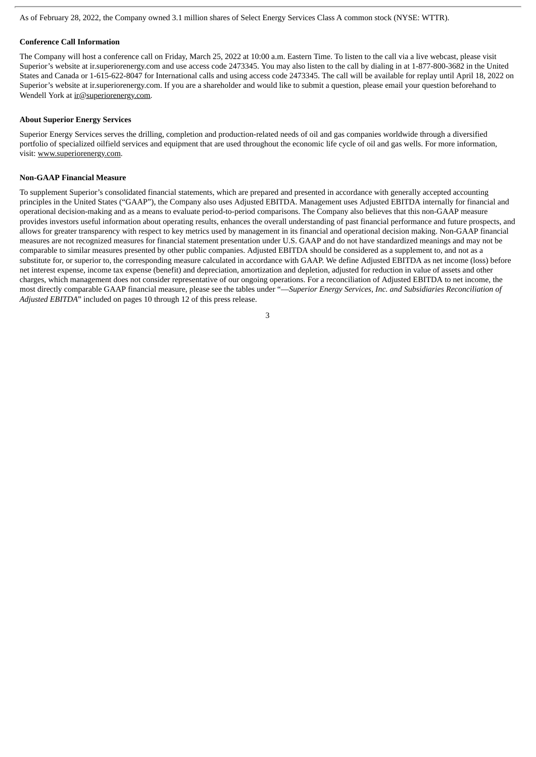As of February 28, 2022, the Company owned 3.1 million shares of Select Energy Services Class A common stock (NYSE: WTTR).

#### **Conference Call Information**

The Company will host a conference call on Friday, March 25, 2022 at 10:00 a.m. Eastern Time. To listen to the call via a live webcast, please visit Superior's website at ir.superiorenergy.com and use access code 2473345. You may also listen to the call by dialing in at 1-877-800-3682 in the United States and Canada or 1-615-622-8047 for International calls and using access code 2473345. The call will be available for replay until April 18, 2022 on Superior's website at ir.superiorenergy.com. If you are a shareholder and would like to submit a question, please email your question beforehand to Wendell York at ir@superiorenergy.com.

#### **About Superior Energy Services**

Superior Energy Services serves the drilling, completion and production-related needs of oil and gas companies worldwide through a diversified portfolio of specialized oilfield services and equipment that are used throughout the economic life cycle of oil and gas wells. For more information, visit: www.superiorenergy.com.

#### **Non-GAAP Financial Measure**

To supplement Superior's consolidated financial statements, which are prepared and presented in accordance with generally accepted accounting principles in the United States ("GAAP"), the Company also uses Adjusted EBITDA. Management uses Adjusted EBITDA internally for financial and operational decision-making and as a means to evaluate period-to-period comparisons. The Company also believes that this non-GAAP measure provides investors useful information about operating results, enhances the overall understanding of past financial performance and future prospects, and allows for greater transparency with respect to key metrics used by management in its financial and operational decision making. Non-GAAP financial measures are not recognized measures for financial statement presentation under U.S. GAAP and do not have standardized meanings and may not be comparable to similar measures presented by other public companies. Adjusted EBITDA should be considered as a supplement to, and not as a substitute for, or superior to, the corresponding measure calculated in accordance with GAAP. We define Adjusted EBITDA as net income (loss) before net interest expense, income tax expense (benefit) and depreciation, amortization and depletion, adjusted for reduction in value of assets and other charges, which management does not consider representative of our ongoing operations. For a reconciliation of Adjusted EBITDA to net income, the most directly comparable GAAP financial measure, please see the tables under "—*Superior Energy Services, Inc. and Subsidiaries Reconciliation of Adjusted EBITDA*" included on pages 10 through 12 of this press release.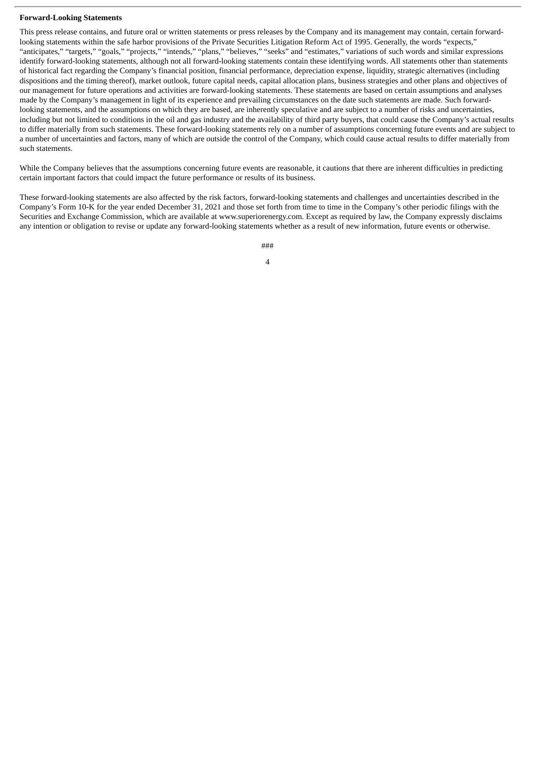#### **Forward-Looking Statements**

This press release contains, and future oral or written statements or press releases by the Company and its management may contain, certain forwardlooking statements within the safe harbor provisions of the Private Securities Litigation Reform Act of 1995. Generally, the words "expects," "anticipates," "targets," "goals," "projects," "intends," "plans," "believes," "seeks" and "estimates," variations of such words and similar expressions identify forward-looking statements, although not all forward-looking statements contain these identifying words. All statements other than statements of historical fact regarding the Company's financial position, financial performance, depreciation expense, liquidity, strategic alternatives (including dispositions and the timing thereof), market outlook, future capital needs, capital allocation plans, business strategies and other plans and objectives of our management for future operations and activities are forward-looking statements. These statements are based on certain assumptions and analyses made by the Company's management in light of its experience and prevailing circumstances on the date such statements are made. Such forwardlooking statements, and the assumptions on which they are based, are inherently speculative and are subject to a number of risks and uncertainties, including but not limited to conditions in the oil and gas industry and the availability of third party buyers, that could cause the Company's actual results to differ materially from such statements. These forward-looking statements rely on a number of assumptions concerning future events and are subject to a number of uncertainties and factors, many of which are outside the control of the Company, which could cause actual results to differ materially from such statements.

While the Company believes that the assumptions concerning future events are reasonable, it cautions that there are inherent difficulties in predicting certain important factors that could impact the future performance or results of its business.

These forward-looking statements are also affected by the risk factors, forward-looking statements and challenges and uncertainties described in the Company's Form 10-K for the year ended December 31, 2021 and those set forth from time to time in the Company's other periodic filings with the Securities and Exchange Commission, which are available at www.superiorenergy.com. Except as required by law, the Company expressly disclaims any intention or obligation to revise or update any forward-looking statements whether as a result of new information, future events or otherwise.

> ### 4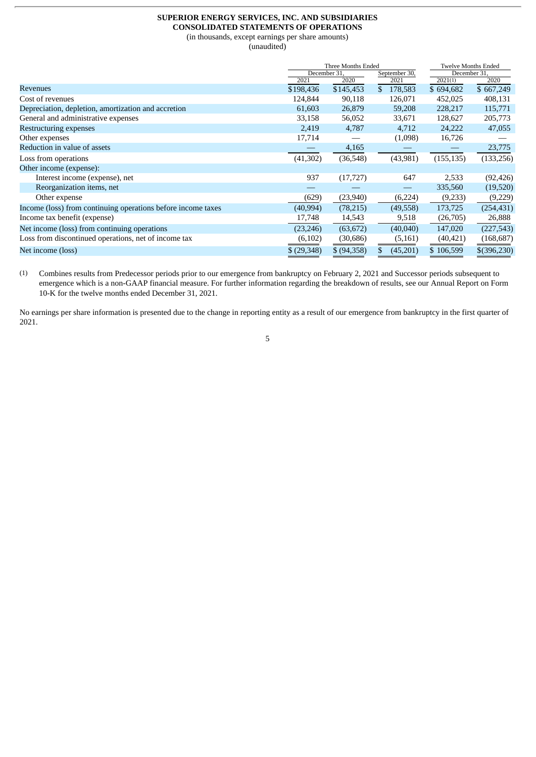#### **SUPERIOR ENERGY SERVICES, INC. AND SUBSIDIARIES CONSOLIDATED STATEMENTS OF OPERATIONS**

(in thousands, except earnings per share amounts)

(unaudited)

|                               |             | <b>Twelve Months Ended</b> |                            |                         |  |
|-------------------------------|-------------|----------------------------|----------------------------|-------------------------|--|
| December 31,<br>September 30, |             |                            |                            |                         |  |
|                               |             |                            |                            | 2020                    |  |
| \$198,436                     | \$145,453   | 178,583<br>\$              | \$694,682                  | \$667,249               |  |
| 124,844                       | 90,118      | 126,071                    | 452,025                    | 408,131                 |  |
| 61,603                        | 26,879      | 59,208                     | 228,217                    | 115,771                 |  |
| 33,158                        | 56,052      | 33,671                     | 128,627                    | 205,773                 |  |
| 2,419                         | 4,787       | 4,712                      | 24,222                     | 47,055                  |  |
| 17,714                        |             | (1,098)                    | 16,726                     |                         |  |
|                               | 4,165       |                            |                            | 23,775                  |  |
| (41, 302)                     | (36, 548)   | (43,981)                   | (155, 135)                 | (133, 256)              |  |
|                               |             |                            |                            |                         |  |
| 937                           | (17, 727)   | 647                        | 2,533                      | (92, 426)               |  |
|                               |             |                            | 335,560                    | (19,520)                |  |
| (629)                         | (23,940)    | (6,224)                    | (9,233)                    | (9,229)                 |  |
| (40, 994)                     | (78, 215)   | (49, 558)                  | 173,725                    | (254, 431)              |  |
| 17,748                        | 14,543      | 9,518                      | (26,705)                   | 26,888                  |  |
| (23, 246)                     | (63, 672)   | (40,040)                   | 147,020                    | (227, 543)              |  |
| (6, 102)                      | (30, 686)   | (5, 161)                   | (40, 421)                  | (168, 687)              |  |
| \$(29,348)                    | \$ (94,358) | (45,201)<br>\$.            | \$106,599                  | $$$ (396,230)           |  |
|                               | 2021        | 2020                       | Three Months Ended<br>2021 | December 31,<br>2021(1) |  |

(1) Combines results from Predecessor periods prior to our emergence from bankruptcy on February 2, 2021 and Successor periods subsequent to emergence which is a non-GAAP financial measure. For further information regarding the breakdown of results, see our Annual Report on Form 10-K for the twelve months ended December 31, 2021.

No earnings per share information is presented due to the change in reporting entity as a result of our emergence from bankruptcy in the first quarter of 2021.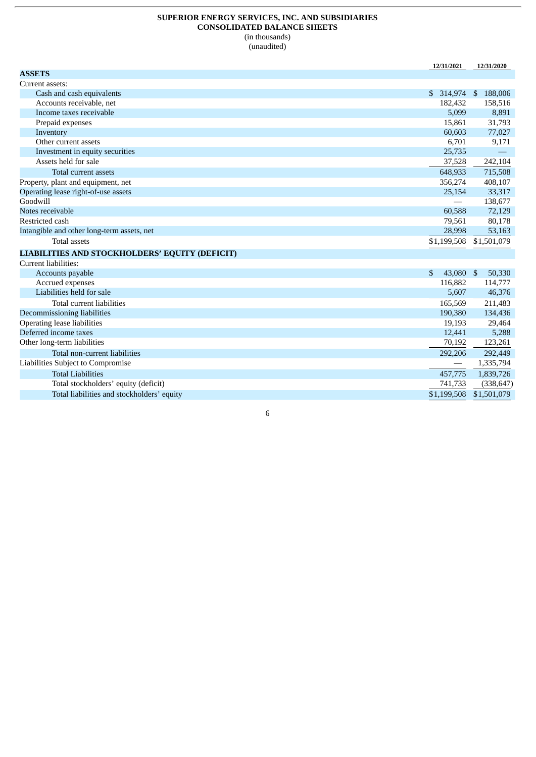#### **SUPERIOR ENERGY SERVICES, INC. AND SUBSIDIARIES CONSOLIDATED BALANCE SHEETS** (in thousands) (unaudited)

**12/31/2021 12/31/2020 ASSETS** Current assets: Cash and cash equivalents **\$ 314,974** \$ 188,006 Accounts receivable, net 182,432 158,516 Income taxes receivable 6,891 Prepaid expenses 15,861 31,793<br>
Inventory 60,603 77,027 Inventory 60,603 77,027 Other current assets 6,701 9,171 9,171 9,171 9,171 9,171 9,171 9,171 9,171 9,171 9,171 9,171 9,171 9,171 9,171 9,171 9,171 9,171 9,171 9,171 9,171 9,171 9,171 1 mestment in equity securities  $\sim$ Investment in equity securities Assets held for sale 37,528 242,104 Total current assets **648,933** 715,508 and the control of the control of the control of the control of the control of the control of the control of the control of the control of the control of the control of the control of Property, plant and equipment, net 356,274 Operating lease right-of-use assets 25,154 33,317  $\hspace{.2cm}$  Goodwill  $\hspace{.2cm}$  138,677  $\hspace{.2cm}$  138,677  $\hspace{.2cm}$  138,677  $\hspace{.2cm}$  138,677  $\hspace{.2cm}$  138,677  $\hspace{.2cm}$  138,677  $\hspace{.2cm}$  138,677  $\hspace{.2cm}$  138,677  $\hspace{.2cm}$  138,677  $\hspace{.2cm}$  138,677  $\hspace{.2cm}$  Notes receivable 60,588 72,129 Restricted cash 79,561 80,178<br>
Intangible and other long-term assets, net 28,998 53,163 Intangible and other long-term assets, net 28,998 53,163 Total assets \$1,199,508 \$1,501,079 **LIABILITIES AND STOCKHOLDERS' EQUITY (DEFICIT)** Current liabilities: Accounts payable **1996 1997 1997 1998 1998 1998 1998 1998 1999 1999 1999 1999 1999 1999 1999 1999 1999 1999 1999 1999 1999 1999 1999 1999 1999 1999 1999 1999 1999 1** Accrued expenses 116,882 114,777 Liabilities held for sale 5,607 46,376 Total current liabilities 165,569 211,483 Decommissioning liabilities 190,380 134,436 Operating lease liabilities 19,193 29,464 Deferred income taxes 12,441 5,288 Other long-term liabilities 70,192 123,261 Total non-current liabilities 292,449 Liabilities Subject to Compromise — 1,335,794 Total Liabilities 457,775 1,839,726 Total stockholders' equity (deficit) 741,733 (338,647) Total liabilities and stockholders' equity the state of the stockholders' equity the state of the state of the state of the state of the state of the state of the state of the state of the state of the state of the state o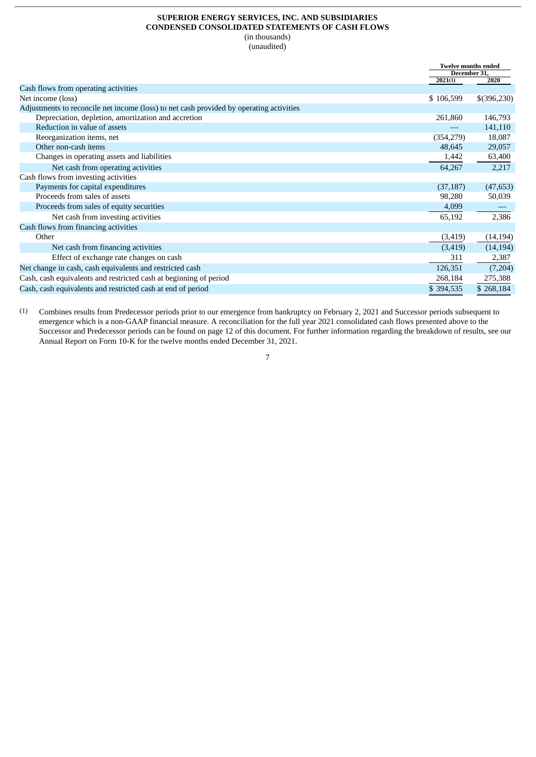#### **SUPERIOR ENERGY SERVICES, INC. AND SUBSIDIARIES CONDENSED CONSOLIDATED STATEMENTS OF CASH FLOWS** (in thousands)

(unaudited)

|                                                                                         | <b>Twelve months ended</b> |             |
|-----------------------------------------------------------------------------------------|----------------------------|-------------|
|                                                                                         | December 31,<br>2021(1)    | 2020        |
| Cash flows from operating activities                                                    |                            |             |
|                                                                                         |                            |             |
| Net income (loss)                                                                       | \$106,599                  | \$(396,230) |
| Adjustments to reconcile net income (loss) to net cash provided by operating activities |                            |             |
| Depreciation, depletion, amortization and accretion                                     | 261,860                    | 146,793     |
| Reduction in value of assets                                                            |                            | 141,110     |
| Reorganization items, net                                                               | (354, 279)                 | 18,087      |
| Other non-cash items                                                                    | 48,645                     | 29,057      |
| Changes in operating assets and liabilities                                             | 1,442                      | 63,400      |
| Net cash from operating activities                                                      | 64,267                     | 2,217       |
| Cash flows from investing activities                                                    |                            |             |
| Payments for capital expenditures                                                       | (37, 187)                  | (47, 653)   |
| Proceeds from sales of assets                                                           | 98,280                     | 50,039      |
| Proceeds from sales of equity securities                                                | 4,099                      |             |
| Net cash from investing activities                                                      | 65,192                     | 2,386       |
| Cash flows from financing activities                                                    |                            |             |
| Other                                                                                   | (3, 419)                   | (14, 194)   |
| Net cash from financing activities                                                      | (3, 419)                   | (14, 194)   |
| Effect of exchange rate changes on cash                                                 | 311                        | 2,387       |
| Net change in cash, cash equivalents and restricted cash                                | 126,351                    | (7,204)     |
| Cash, cash equivalents and restricted cash at beginning of period                       | 268,184                    | 275,388     |
| Cash, cash equivalents and restricted cash at end of period                             | \$394,535                  | \$268,184   |

(1) Combines results from Predecessor periods prior to our emergence from bankruptcy on February 2, 2021 and Successor periods subsequent to emergence which is a non-GAAP financial measure. A reconciliation for the full year 2021 consolidated cash flows presented above to the Successor and Predecessor periods can be found on page 12 of this document. For further information regarding the breakdown of results, see our Annual Report on Form 10-K for the twelve months ended December 31, 2021.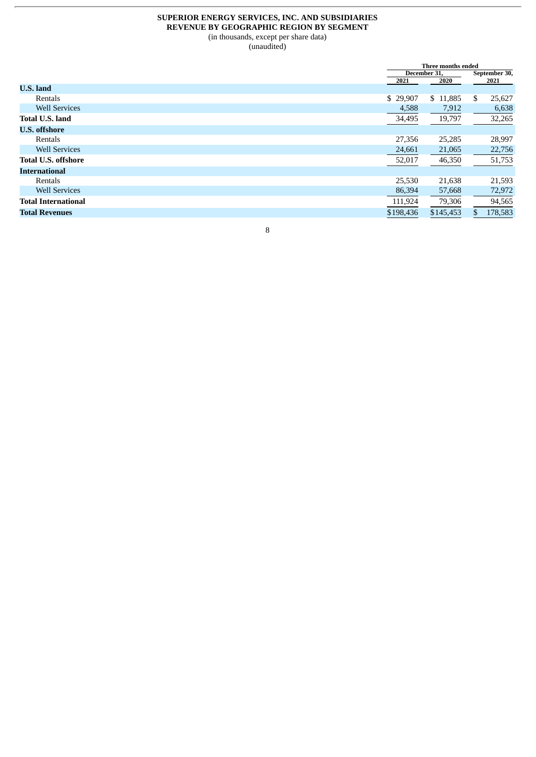# **SUPERIOR ENERGY SERVICES, INC. AND SUBSIDIARIES REVENUE BY GEOGRAPHIC REGION BY SEGMENT** (in thousands, except per share data)

(unaudited)

|                            |           | Three months ended |               |  |  |
|----------------------------|-----------|--------------------|---------------|--|--|
|                            |           | December 31,       |               |  |  |
| <b>U.S. land</b>           | 2021      | 2020               | 2021          |  |  |
| Rentals                    | \$29,907  | \$11,885           | S.<br>25,627  |  |  |
| <b>Well Services</b>       | 4,588     | 7,912              | 6,638         |  |  |
| <b>Total U.S. land</b>     | 34,495    | 19,797             | 32,265        |  |  |
| <b>U.S. offshore</b>       |           |                    |               |  |  |
| Rentals                    | 27,356    | 25,285             | 28,997        |  |  |
| <b>Well Services</b>       | 24,661    | 21,065             | 22,756        |  |  |
| <b>Total U.S. offshore</b> | 52,017    | 46,350             | 51,753        |  |  |
| <b>International</b>       |           |                    |               |  |  |
| Rentals                    | 25,530    | 21,638             | 21,593        |  |  |
| <b>Well Services</b>       | 86,394    | 57,668             | 72,972        |  |  |
| Total International        | 111,924   | 79,306             | 94,565        |  |  |
| <b>Total Revenues</b>      | \$198,436 | \$145,453          | 178,583<br>\$ |  |  |
|                            |           |                    |               |  |  |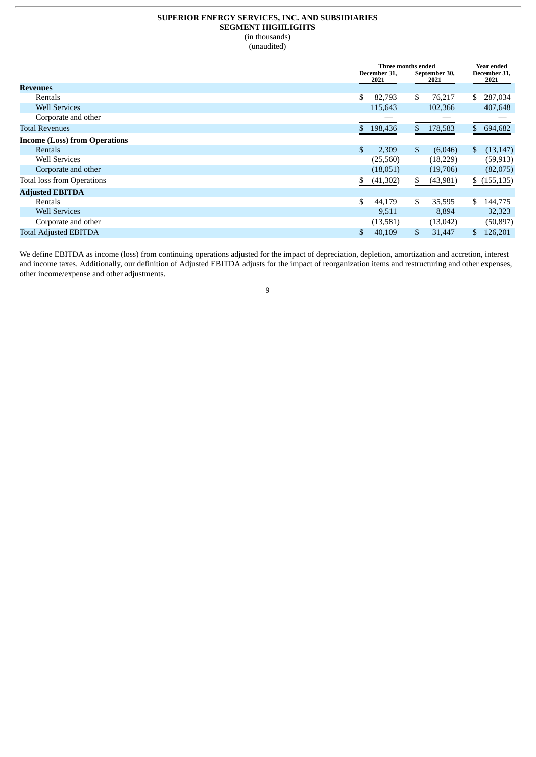## **SUPERIOR ENERGY SERVICES, INC. AND SUBSIDIARIES SEGMENT HIGHLIGHTS** (in thousands) (unaudited)

|                                      | Three months ended   |    |                       | Year ended   |                      |
|--------------------------------------|----------------------|----|-----------------------|--------------|----------------------|
|                                      | December 31,<br>2021 |    | September 30,<br>2021 |              | December 31,<br>2021 |
| <b>Revenues</b>                      |                      |    |                       |              |                      |
| Rentals                              | \$<br>82,793         | \$ | 76,217                | S.           | 287,034              |
| <b>Well Services</b>                 | 115,643              |    | 102,366               |              | 407,648              |
| Corporate and other                  |                      |    |                       |              |                      |
| <b>Total Revenues</b>                | \$ 198,436           | \$ | 178,583               |              | \$ 694,682           |
| <b>Income (Loss) from Operations</b> |                      |    |                       |              |                      |
| Rentals                              | \$<br>2,309          | \$ | (6,046)               | $\mathbb{S}$ | (13, 147)            |
| <b>Well Services</b>                 | (25,560)             |    | (18,229)              |              | (59, 913)            |
| Corporate and other                  | (18,051)             |    | (19,706)              |              | (82,075)             |
| <b>Total loss from Operations</b>    | (41,302)             | S. | (43,981)              |              | \$(155, 135)         |
| <b>Adjusted EBITDA</b>               |                      |    |                       |              |                      |
| Rentals                              | \$<br>44,179         | \$ | 35,595                | \$           | 144,775              |
| <b>Well Services</b>                 | 9,511                |    | 8,894                 |              | 32,323               |
| Corporate and other                  | (13,581)             |    | (13, 042)             |              | (50, 897)            |
| <b>Total Adjusted EBITDA</b>         | 40,109               | \$ | 31,447                | \$           | 126,201              |

We define EBITDA as income (loss) from continuing operations adjusted for the impact of depreciation, depletion, amortization and accretion, interest and income taxes. Additionally, our definition of Adjusted EBITDA adjusts for the impact of reorganization items and restructuring and other expenses, other income/expense and other adjustments.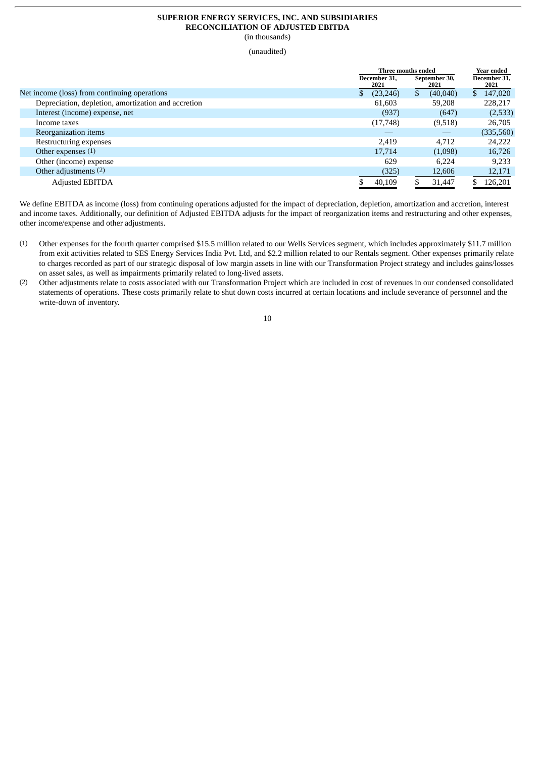#### **SUPERIOR ENERGY SERVICES, INC. AND SUBSIDIARIES RECONCILIATION OF ADJUSTED EBITDA** (in thousands)

(unaudited)

|                                                     | Three months ended   | Year ended            |                      |  |
|-----------------------------------------------------|----------------------|-----------------------|----------------------|--|
|                                                     | December 31,<br>2021 | September 30,<br>2021 | December 31,<br>2021 |  |
| Net income (loss) from continuing operations        | (23, 246)<br>\$      | (40,040)<br>\$.       | 147,020<br>S.        |  |
| Depreciation, depletion, amortization and accretion | 61,603               | 59,208                | 228,217              |  |
| Interest (income) expense, net                      | (937)                | (647)                 | (2,533)              |  |
| Income taxes                                        | (17,748)             | (9,518)               | 26,705               |  |
| Reorganization items                                |                      |                       | (335,560)            |  |
| Restructuring expenses                              | 2.419                | 4,712                 | 24,222               |  |
| Other expenses $(1)$                                | 17,714               | (1,098)               | 16,726               |  |
| Other (income) expense                              | 629                  | 6.224                 | 9,233                |  |
| Other adjustments (2)                               | (325)                | 12,606                | 12,171               |  |
| <b>Adjusted EBITDA</b>                              | 40,109               | 31,447                | 126,201              |  |

We define EBITDA as income (loss) from continuing operations adjusted for the impact of depreciation, depletion, amortization and accretion, interest and income taxes. Additionally, our definition of Adjusted EBITDA adjusts for the impact of reorganization items and restructuring and other expenses, other income/expense and other adjustments.

- (1) Other expenses for the fourth quarter comprised \$15.5 million related to our Wells Services segment, which includes approximately \$11.7 million from exit activities related to SES Energy Services India Pvt. Ltd, and \$2.2 million related to our Rentals segment. Other expenses primarily relate to charges recorded as part of our strategic disposal of low margin assets in line with our Transformation Project strategy and includes gains/losses on asset sales, as well as impairments primarily related to long-lived assets.
- (2) Other adjustments relate to costs associated with our Transformation Project which are included in cost of revenues in our condensed consolidated statements of operations. These costs primarily relate to shut down costs incurred at certain locations and include severance of personnel and the write-down of inventory.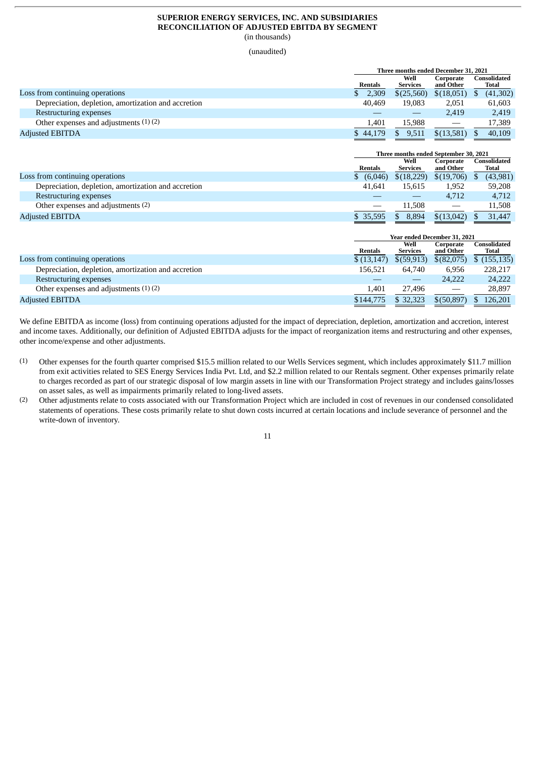#### **SUPERIOR ENERGY SERVICES, INC. AND SUBSIDIARIES RECONCILIATION OF ADJUSTED EBITDA BY SEGMENT** (in thousands)

(unaudited)

|                                                     | Three months ended December 31, 2021 |                |           |                 |                   |              |           |
|-----------------------------------------------------|--------------------------------------|----------------|-----------|-----------------|-------------------|--------------|-----------|
|                                                     | Well                                 |                | Corporate |                 |                   | Consolidated |           |
|                                                     |                                      | <b>Rentals</b> |           | <b>Services</b> | and Other         |              | Total     |
| Loss from continuing operations                     |                                      | 2,309          |           | \$(25.560)      | \$(18,051)        |              | (41, 302) |
| Depreciation, depletion, amortization and accretion |                                      | 40.469         |           | 19.083          | 2,051             |              | 61,603    |
| Restructuring expenses                              |                                      |                |           |                 | 2,419             |              | 2,419     |
| Other expenses and adjustments $(1)(2)$             |                                      | 1,401          |           | 15.988          | $\hspace{0.05cm}$ |              | 17,389    |
| <b>Adjusted EBITDA</b>                              |                                      | \$44,179       |           | 9,511           | \$(13,581)        |              | 40.109    |

|                                                     | Three months ended September 30, 2021 |                         |                        |                       |  |
|-----------------------------------------------------|---------------------------------------|-------------------------|------------------------|-----------------------|--|
|                                                     | Rentals                               | Well<br><b>Services</b> | Corporate<br>and Other | Consolidated<br>Total |  |
| Loss from continuing operations                     | \$ (6,046)                            | \$(18,229)              | \$(19,706)             | (43,981)              |  |
| Depreciation, depletion, amortization and accretion | 41.641                                | 15.615                  | 1,952                  | 59,208                |  |
| Restructuring expenses                              |                                       |                         | 4.712                  | 4.712                 |  |
| Other expenses and adjustments (2)                  |                                       | 11.508                  |                        | 11,508                |  |
| <b>Adjusted EBITDA</b>                              | \$ 35,595                             | 8,894                   | \$(13,042)             | 31,447                |  |

|                                                     | Year ended December 31, 2021 |                         |                                 |                       |
|-----------------------------------------------------|------------------------------|-------------------------|---------------------------------|-----------------------|
|                                                     | <b>Rentals</b>               | Well<br><b>Services</b> | Corporate<br>and Other          | Consolidated<br>Total |
| Loss from continuing operations                     | \$(13, 147)                  | $$$ (59,913)            | \$(82,075)                      | \$(155, 135)          |
| Depreciation, depletion, amortization and accretion | 156.521                      | 64.740                  | 6,956                           | 228,217               |
| Restructuring expenses                              |                              |                         | 24,222                          | 24,222                |
| Other expenses and adjustments $(1)(2)$             | 1,401                        | 27.496                  | $\hspace{0.1mm}-\hspace{0.1mm}$ | 28,897                |
| <b>Adjusted EBITDA</b>                              | \$144,775                    | \$ 32,323               | \$(50.897)                      | 126.201               |

We define EBITDA as income (loss) from continuing operations adjusted for the impact of depreciation, depletion, amortization and accretion, interest and income taxes. Additionally, our definition of Adjusted EBITDA adjusts for the impact of reorganization items and restructuring and other expenses, other income/expense and other adjustments.

- (1) Other expenses for the fourth quarter comprised \$15.5 million related to our Wells Services segment, which includes approximately \$11.7 million from exit activities related to SES Energy Services India Pvt. Ltd, and \$2.2 million related to our Rentals segment. Other expenses primarily relate to charges recorded as part of our strategic disposal of low margin assets in line with our Transformation Project strategy and includes gains/losses on asset sales, as well as impairments primarily related to long-lived assets.
- (2) Other adjustments relate to costs associated with our Transformation Project which are included in cost of revenues in our condensed consolidated statements of operations. These costs primarily relate to shut down costs incurred at certain locations and include severance of personnel and the write-down of inventory.